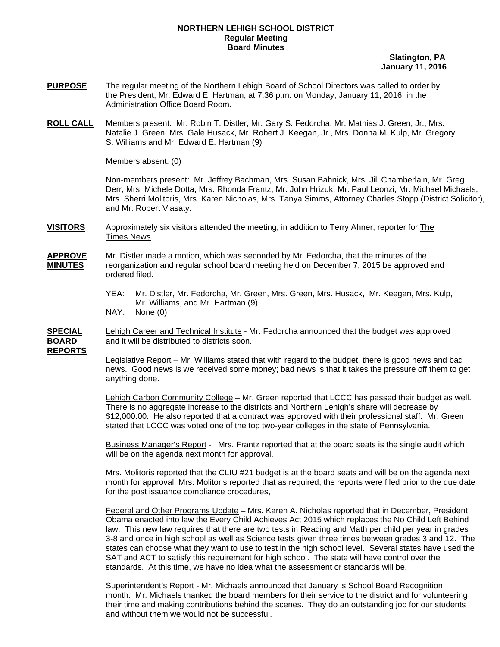## **NORTHERN LEHIGH SCHOOL DISTRICT Regular Meeting Board Minutes**

 **Slatington, PA January 11, 2016** 

- **PURPOSE** The regular meeting of the Northern Lehigh Board of School Directors was called to order by the President, Mr. Edward E. Hartman, at 7:36 p.m. on Monday, January 11, 2016, in the Administration Office Board Room.
- **ROLL CALL** Members present: Mr. Robin T. Distler, Mr. Gary S. Fedorcha, Mr. Mathias J. Green, Jr., Mrs. Natalie J. Green, Mrs. Gale Husack, Mr. Robert J. Keegan, Jr., Mrs. Donna M. Kulp, Mr. Gregory S. Williams and Mr. Edward E. Hartman (9)

Members absent: (0)

Non-members present: Mr. Jeffrey Bachman, Mrs. Susan Bahnick, Mrs. Jill Chamberlain, Mr. Greg Derr, Mrs. Michele Dotta, Mrs. Rhonda Frantz, Mr. John Hrizuk, Mr. Paul Leonzi, Mr. Michael Michaels, Mrs. Sherri Molitoris, Mrs. Karen Nicholas, Mrs. Tanya Simms, Attorney Charles Stopp (District Solicitor), and Mr. Robert Vlasaty.

**VISITORS** Approximately six visitors attended the meeting, in addition to Terry Ahner, reporter for The Times News.

**APPROVE** Mr. Distler made a motion, which was seconded by Mr. Fedorcha, that the minutes of the **MINUTES** reorganization and regular school board meeting held on December 7, 2015 be approved and ordered filed.

- YEA: Mr. Distler, Mr. Fedorcha, Mr. Green, Mrs. Green, Mrs. Husack, Mr. Keegan, Mrs. Kulp, Mr. Williams, and Mr. Hartman (9)
- NAY: None (0)

**SPECIAL** Lehigh Career and Technical Institute - Mr. Fedorcha announced that the budget was approved **BOARD** and it will be distributed to districts soon.

**REPORTS**

 Legislative Report – Mr. Williams stated that with regard to the budget, there is good news and bad news. Good news is we received some money; bad news is that it takes the pressure off them to get anything done.

 Lehigh Carbon Community College – Mr. Green reported that LCCC has passed their budget as well. There is no aggregate increase to the districts and Northern Lehigh's share will decrease by \$12,000.00. He also reported that a contract was approved with their professional staff. Mr. Green stated that LCCC was voted one of the top two-year colleges in the state of Pennsylvania.

Business Manager's Report - Mrs. Frantz reported that at the board seats is the single audit which will be on the agenda next month for approval.

Mrs. Molitoris reported that the CLIU #21 budget is at the board seats and will be on the agenda next month for approval. Mrs. Molitoris reported that as required, the reports were filed prior to the due date for the post issuance compliance procedures,

 Federal and Other Programs Update – Mrs. Karen A. Nicholas reported that in December, President Obama enacted into law the Every Child Achieves Act 2015 which replaces the No Child Left Behind law. This new law requires that there are two tests in Reading and Math per child per year in grades 3-8 and once in high school as well as Science tests given three times between grades 3 and 12. The states can choose what they want to use to test in the high school level. Several states have used the SAT and ACT to satisfy this requirement for high school. The state will have control over the standards. At this time, we have no idea what the assessment or standards will be.

 Superintendent's Report - Mr. Michaels announced that January is School Board Recognition month. Mr. Michaels thanked the board members for their service to the district and for volunteering their time and making contributions behind the scenes. They do an outstanding job for our students and without them we would not be successful.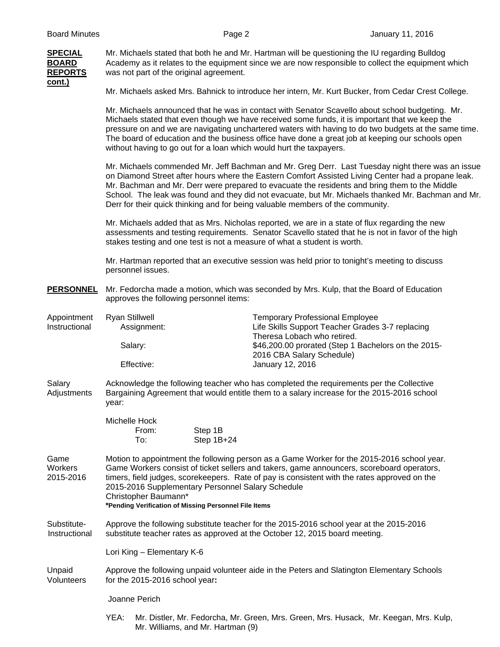

**SPECIAL** Mr. Michaels stated that both he and Mr. Hartman will be questioning the IU regarding Bulldog **BOARD** Academy as it relates to the equipment since we are now responsible to collect the equipment which **REPORTS** was not part of the original agreement.

Mr. Michaels asked Mrs. Bahnick to introduce her intern, Mr. Kurt Bucker, from Cedar Crest College.

Mr. Michaels announced that he was in contact with Senator Scavello about school budgeting. Mr. Michaels stated that even though we have received some funds, it is important that we keep the pressure on and we are navigating unchartered waters with having to do two budgets at the same time. The board of education and the business office have done a great job at keeping our schools open without having to go out for a loan which would hurt the taxpayers.

Mr. Michaels commended Mr. Jeff Bachman and Mr. Greg Derr. Last Tuesday night there was an issue on Diamond Street after hours where the Eastern Comfort Assisted Living Center had a propane leak. Mr. Bachman and Mr. Derr were prepared to evacuate the residents and bring them to the Middle School. The leak was found and they did not evacuate, but Mr. Michaels thanked Mr. Bachman and Mr. Derr for their quick thinking and for being valuable members of the community.

Mr. Michaels added that as Mrs. Nicholas reported, we are in a state of flux regarding the new assessments and testing requirements. Senator Scavello stated that he is not in favor of the high stakes testing and one test is not a measure of what a student is worth.

Mr. Hartman reported that an executive session was held prior to tonight's meeting to discuss personnel issues.

**PERSONNEL** Mr. Fedorcha made a motion, which was seconded by Mrs. Kulp, that the Board of Education approves the following personnel items:

| Appointment   | Ryan Stillwell | <b>Temporary Professional Employee</b>              |  |  |
|---------------|----------------|-----------------------------------------------------|--|--|
| Instructional | Assignment:    | Life Skills Support Teacher Grades 3-7 replacing    |  |  |
|               |                | Theresa Lobach who retired.                         |  |  |
|               | Salarv:        | \$46,200.00 prorated (Step 1 Bachelors on the 2015- |  |  |
|               |                | 2016 CBA Salary Schedule)                           |  |  |
|               | Effective:     | January 12, 2016                                    |  |  |

Salary **Acknowledge the following teacher who has completed the requirements per the Collective** Adjustments Bargaining Agreement that would entitle them to a salary increase for the 2015-2016 school year:

| Michelle Hock |              |
|---------------|--------------|
| From:         | Step 1B      |
| To:           | Step $1B+24$ |

Game Motion to appointment the following person as a Game Worker for the 2015-2016 school year. Workers Game Workers consist of ticket sellers and takers, game announcers, scoreboard operators, 2015-2016 timers, field judges, scorekeepers. Rate of pay is consistent with the rates approved on the 2015-2016 Supplementary Personnel Salary Schedule Christopher Baumann\*

**\*Pending Verification of Missing Personnel File Items** 

Substitute- Approve the following substitute teacher for the 2015-2016 school year at the 2015-2016 Instructional substitute teacher rates as approved at the October 12, 2015 board meeting.

Lori King – Elementary K-6

Unpaid Approve the following unpaid volunteer aide in the Peters and Slatington Elementary Schools Volunteers for the 2015-2016 school year**:** 

Joanne Perich

 YEA: Mr. Distler, Mr. Fedorcha, Mr. Green, Mrs. Green, Mrs. Husack, Mr. Keegan, Mrs. Kulp, Mr. Williams, and Mr. Hartman (9)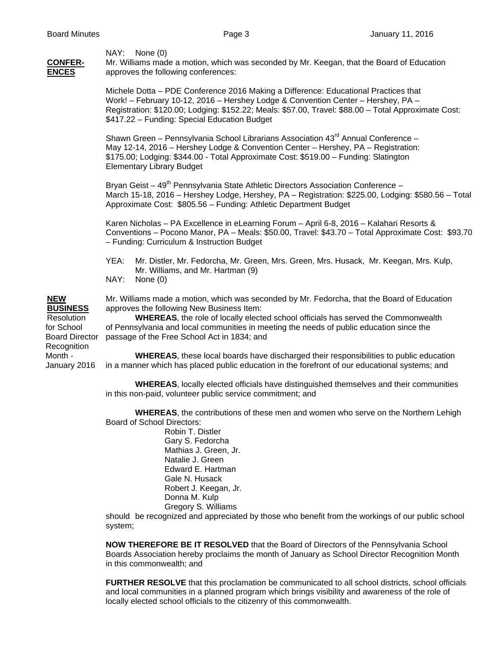NAY: None (0)

**CONFER-** Mr. Williams made a motion, which was seconded by Mr. Keegan, that the Board of Education **ENCES** approves the following conferences:

> Michele Dotta – PDE Conference 2016 Making a Difference: Educational Practices that Work! – February 10-12, 2016 – Hershey Lodge & Convention Center – Hershey, PA – Registration: \$120.00; Lodging: \$152.22; Meals: \$57.00, Travel: \$88.00 – Total Approximate Cost: \$417.22 – Funding: Special Education Budget

Shawn Green – Pennsylvania School Librarians Association  $43^{\text{rd}}$  Annual Conference – May 12-14, 2016 – Hershey Lodge & Convention Center – Hershey, PA – Registration: \$175.00; Lodging: \$344.00 - Total Approximate Cost: \$519.00 – Funding: Slatington Elementary Library Budget

Bryan Geist – 49<sup>th</sup> Pennsylvania State Athletic Directors Association Conference – March 15-18, 2016 – Hershey Lodge, Hershey, PA – Registration: \$225.00, Lodging: \$580.56 – Total Approximate Cost: \$805.56 – Funding: Athletic Department Budget

Karen Nicholas – PA Excellence in eLearning Forum – April 6-8, 2016 – Kalahari Resorts & Conventions – Pocono Manor, PA – Meals: \$50.00, Travel: \$43.70 – Total Approximate Cost: \$93.70 – Funding: Curriculum & Instruction Budget

- YEA: Mr. Distler, Mr. Fedorcha, Mr. Green, Mrs. Green, Mrs. Husack, Mr. Keegan, Mrs. Kulp, Mr. Williams, and Mr. Hartman (9)
- NAY: None (0)

Recognition

**NEW** Mr. Williams made a motion, which was seconded by Mr. Fedorcha, that the Board of Education **BUSINESS** approves the following New Business Item:

 Resolution **WHEREAS**, the role of locally elected school officials has served the Commonwealth for School of Pennsylvania and local communities in meeting the needs of public education since the Board Director passage of the Free School Act in 1834; and

 Month - **WHEREAS**, these local boards have discharged their responsibilities to public education January 2016 in a manner which has placed public education in the forefront of our educational systems; and

> **WHEREAS**, locally elected officials have distinguished themselves and their communities in this non-paid, volunteer public service commitment; and

> **WHEREAS**, the contributions of these men and women who serve on the Northern Lehigh Board of School Directors:

Robin T. Distler Gary S. Fedorcha Mathias J. Green, Jr. Natalie J. Green Edward E. Hartman Gale N. Husack Robert J. Keegan, Jr. Donna M. Kulp Gregory S. Williams

should be recognized and appreciated by those who benefit from the workings of our public school system;

**NOW THEREFORE BE IT RESOLVED** that the Board of Directors of the Pennsylvania School Boards Association hereby proclaims the month of January as School Director Recognition Month in this commonwealth; and

**FURTHER RESOLVE** that this proclamation be communicated to all school districts, school officials and local communities in a planned program which brings visibility and awareness of the role of locally elected school officials to the citizenry of this commonwealth.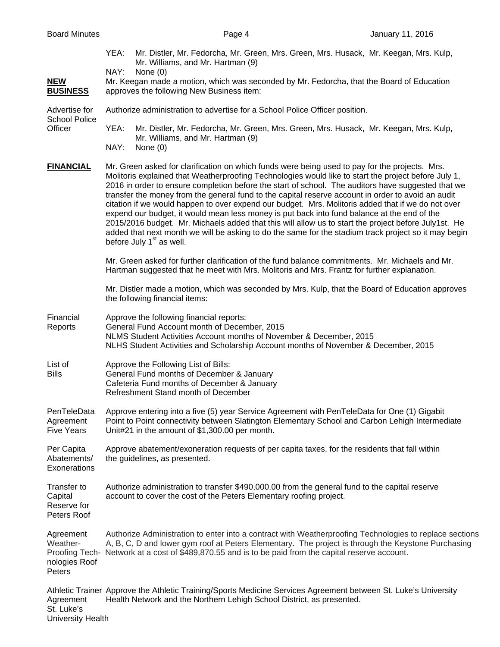University Health

 YEA: Mr. Distler, Mr. Fedorcha, Mr. Green, Mrs. Green, Mrs. Husack, Mr. Keegan, Mrs. Kulp, Mr. Williams, and Mr. Hartman (9) NAY: None (0) NEW Mr. Keegan made a motion, which was seconded by Mr. Fedorcha, that the Board of Education **BUSINESS** approves the following New Business item: Advertise for Authorize administration to advertise for a School Police Officer position. School Police Officer YEA: Mr. Distler, Mr. Fedorcha, Mr. Green, Mrs. Green, Mrs. Husack, Mr. Keegan, Mrs. Kulp, Mr. Williams, and Mr. Hartman (9) NAY: None (0) FINANCIAL Mr. Green asked for clarification on which funds were being used to pay for the projects. Mrs. Molitoris explained that Weatherproofing Technologies would like to start the project before July 1, 2016 in order to ensure completion before the start of school. The auditors have suggested that we transfer the money from the general fund to the capital reserve account in order to avoid an audit citation if we would happen to over expend our budget. Mrs. Molitoris added that if we do not over expend our budget, it would mean less money is put back into fund balance at the end of the 2015/2016 budget. Mr. Michaels added that this will allow us to start the project before July1st. He added that next month we will be asking to do the same for the stadium track project so it may begin before July  $1<sup>st</sup>$  as well. Mr. Green asked for further clarification of the fund balance commitments. Mr. Michaels and Mr. Hartman suggested that he meet with Mrs. Molitoris and Mrs. Frantz for further explanation. Mr. Distler made a motion, which was seconded by Mrs. Kulp, that the Board of Education approves the following financial items: Financial Approve the following financial reports: Reports General Fund Account month of December, 2015 NLMS Student Activities Account months of November & December, 2015 NLHS Student Activities and Scholarship Account months of November & December, 2015 List of Approve the Following List of Bills: Bills General Fund months of December & January Cafeteria Fund months of December & January Refreshment Stand month of December PenTeleData Approve entering into a five (5) year Service Agreement with PenTeleData for One (1) Gigabit Agreement Point to Point connectivity between Slatington Elementary School and Carbon Lehigh Intermediate Five Years Unit#21 in the amount of \$1,300.00 per month. Per Capita Approve abatement/exoneration requests of per capita taxes, for the residents that fall within Abatements/ the guidelines, as presented. **Exonerations** Transfer to Authorize administration to transfer \$490,000.00 from the general fund to the capital reserve Capital account to cover the cost of the Peters Elementary roofing project. Reserve for Peters Roof Agreement Authorize Administration to enter into a contract with Weatherproofing Technologies to replace sections Weather- A, B, C, D and lower gym roof at Peters Elementary. The project is through the Keystone Purchasing Proofing Tech- Network at a cost of \$489,870.55 and is to be paid from the capital reserve account. nologies Roof **Peters** Athletic Trainer Approve the Athletic Training/Sports Medicine Services Agreement between St. Luke's University Agreement Health Network and the Northern Lehigh School District, as presented. St. Luke's